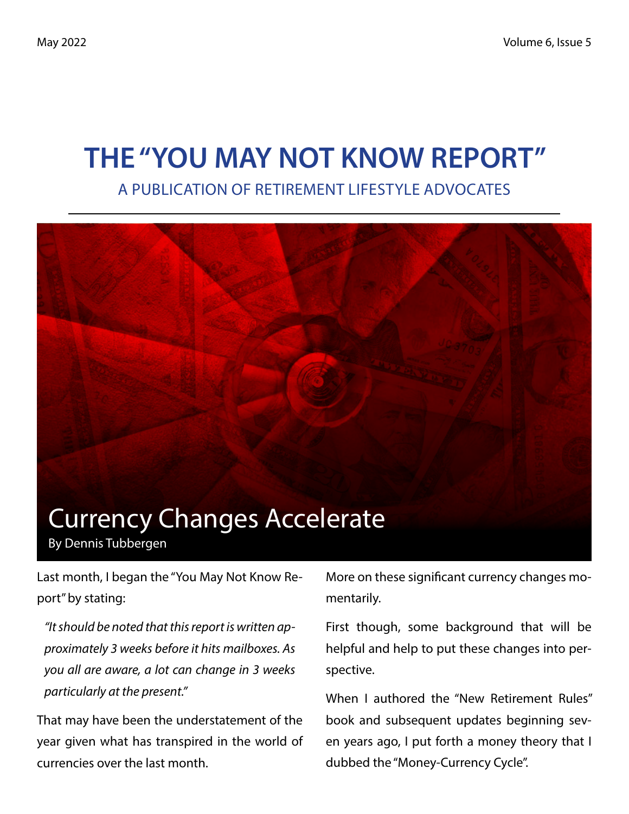# THE "YOU MAY NOT KNOW REPORT"

A PUBLICATION OF RETIREMENT LIFESTYLE ADVOCATES



Last month, I began the "You May Not Know Report" by stating:

*"It should be noted that this report is written approximately 3 weeks before it hits mailboxes. As you all are aware, a lot can change in 3 weeks particularly at the present."*

That may have been the understatement of the year given what has transpired in the world of currencies over the last month.

More on these significant currency changes momentarily.

First though, some background that will be helpful and help to put these changes into perspective.

When I authored the "New Retirement Rules" book and subsequent updates beginning seven years ago, I put forth a money theory that I dubbed the "Money-Currency Cycle".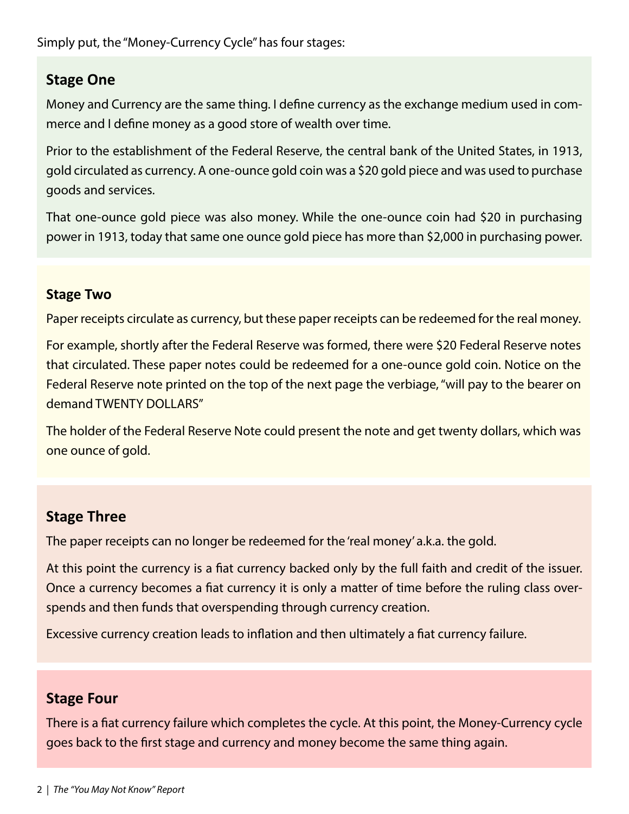#### **Stage One**

Money and Currency are the same thing. I define currency as the exchange medium used in commerce and I define money as a good store of wealth over time.

Prior to the establishment of the Federal Reserve, the central bank of the United States, in 1913, gold circulated as currency. A one-ounce gold coin was a \$20 gold piece and was used to purchase goods and services.

That one-ounce gold piece was also money. While the one-ounce coin had \$20 in purchasing power in 1913, today that same one ounce gold piece has more than \$2,000 in purchasing power.

#### **Stage Two**

Paper receipts circulate as currency, but these paper receipts can be redeemed for the real money.

For example, shortly after the Federal Reserve was formed, there were \$20 Federal Reserve notes that circulated. These paper notes could be redeemed for a one-ounce gold coin. Notice on the Federal Reserve note printed on the top of the next page the verbiage, "will pay to the bearer on demand TWENTY DOLLARS"

The holder of the Federal Reserve Note could present the note and get twenty dollars, which was one ounce of gold.

#### **Stage Three**

The paper receipts can no longer be redeemed for the 'real money' a.k.a. the gold.

At this point the currency is a fiat currency backed only by the full faith and credit of the issuer. Once a currency becomes a fiat currency it is only a matter of time before the ruling class overspends and then funds that overspending through currency creation.

Excessive currency creation leads to inflation and then ultimately a fiat currency failure.

#### **Stage Four**

There is a fiat currency failure which completes the cycle. At this point, the Money-Currency cycle goes back to the first stage and currency and money become the same thing again.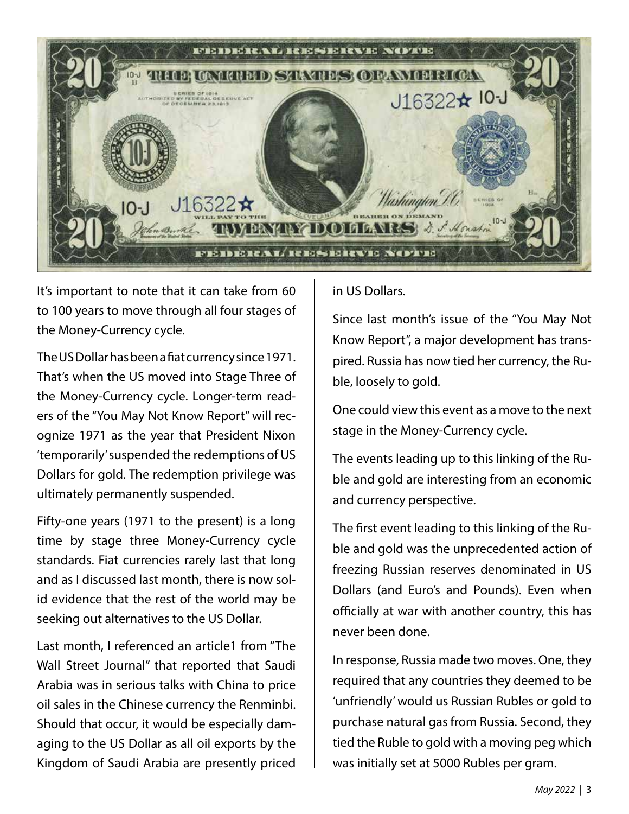

It's important to note that it can take from 60 to 100 years to move through all four stages of the Money-Currency cycle.

The US Dollar has been a fiat currency since 1971. That's when the US moved into Stage Three of the Money-Currency cycle. Longer-term readers of the "You May Not Know Report" will recognize 1971 as the year that President Nixon 'temporarily' suspended the redemptions of US Dollars for gold. The redemption privilege was ultimately permanently suspended.

Fifty-one years (1971 to the present) is a long time by stage three Money-Currency cycle standards. Fiat currencies rarely last that long and as I discussed last month, there is now solid evidence that the rest of the world may be seeking out alternatives to the US Dollar.

Last month, I referenced an article1 from "The Wall Street Journal" that reported that Saudi Arabia was in serious talks with China to price oil sales in the Chinese currency the Renminbi. Should that occur, it would be especially damaging to the US Dollar as all oil exports by the Kingdom of Saudi Arabia are presently priced

in US Dollars.

Since last month's issue of the "You May Not Know Report", a major development has transpired. Russia has now tied her currency, the Ruble, loosely to gold.

One could view this event as a move to the next stage in the Money-Currency cycle.

The events leading up to this linking of the Ruble and gold are interesting from an economic and currency perspective.

The first event leading to this linking of the Ruble and gold was the unprecedented action of freezing Russian reserves denominated in US Dollars (and Euro's and Pounds). Even when officially at war with another country, this has never been done.

In response, Russia made two moves. One, they required that any countries they deemed to be 'unfriendly' would us Russian Rubles or gold to purchase natural gas from Russia. Second, they tied the Ruble to gold with a moving peg which was initially set at 5000 Rubles per gram.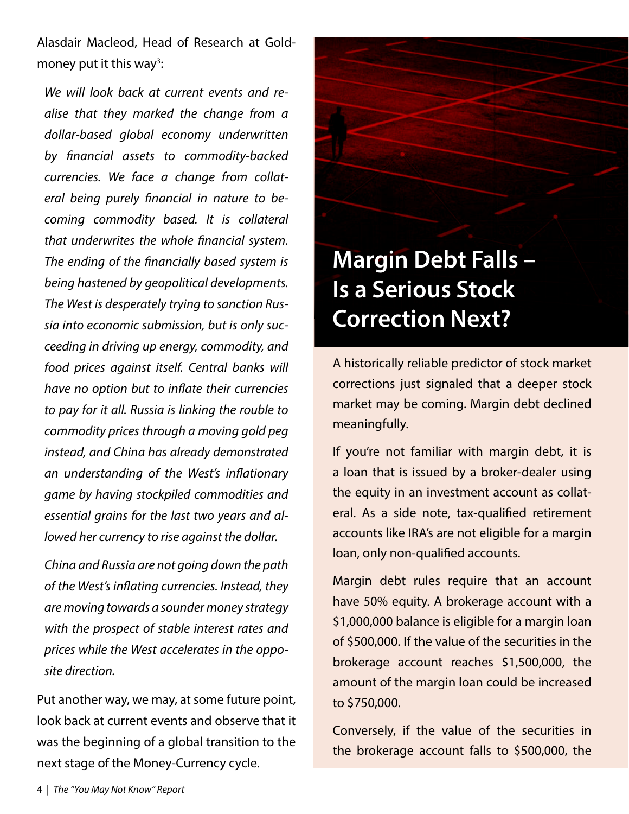Alasdair Macleod, Head of Research at Goldmoney put it this way<sup>3</sup>:

*We will look back at current events and realise that they marked the change from a dollar-based global economy underwritten by financial assets to commodity-backed currencies. We face a change from collateral being purely financial in nature to becoming commodity based. It is collateral that underwrites the whole financial system. The ending of the financially based system is being hastened by geopolitical developments. The West is desperately trying to sanction Russia into economic submission, but is only succeeding in driving up energy, commodity, and food prices against itself. Central banks will have no option but to inflate their currencies to pay for it all. Russia is linking the rouble to commodity prices through a moving gold peg instead, and China has already demonstrated an understanding of the West's inflationary game by having stockpiled commodities and essential grains for the last two years and allowed her currency to rise against the dollar.*

*China and Russia are not going down the path of the West's inflating currencies. Instead, they are moving towards a sounder money strategy with the prospect of stable interest rates and prices while the West accelerates in the opposite direction.*

Put another way, we may, at some future point, look back at current events and observe that it was the beginning of a global transition to the next stage of the Money-Currency cycle.

## **Margin Debt Falls – Is a Serious Stock Correction Next?**

A historically reliable predictor of stock market corrections just signaled that a deeper stock market may be coming. Margin debt declined meaningfully.

If you're not familiar with margin debt, it is a loan that is issued by a broker-dealer using the equity in an investment account as collateral. As a side note, tax-qualified retirement accounts like IRA's are not eligible for a margin loan, only non-qualified accounts.

Margin debt rules require that an account have 50% equity. A brokerage account with a \$1,000,000 balance is eligible for a margin loan of \$500,000. If the value of the securities in the brokerage account reaches \$1,500,000, the amount of the margin loan could be increased to \$750,000.

Conversely, if the value of the securities in the brokerage account falls to \$500,000, the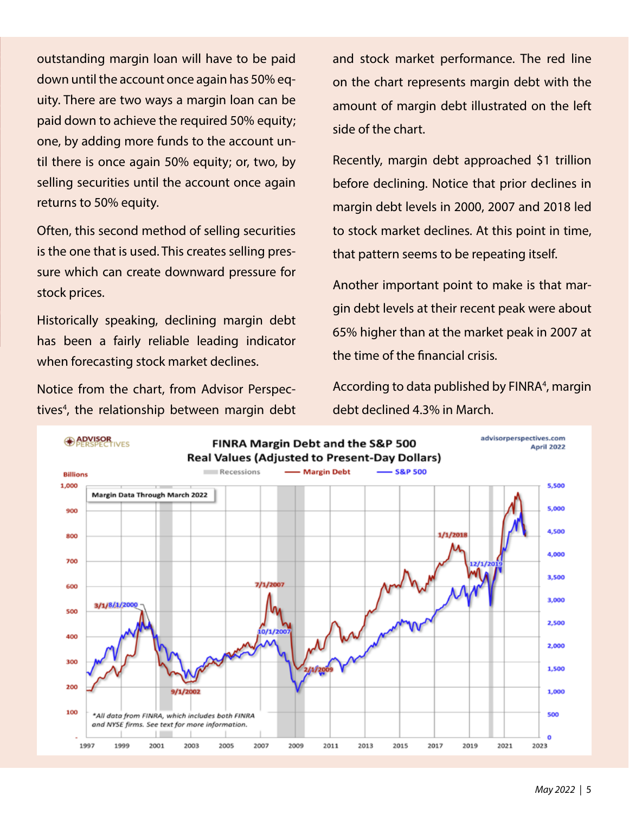outstanding margin loan will have to be paid down until the account once again has 50% equity. There are two ways a margin loan can be paid down to achieve the required 50% equity; one, by adding more funds to the account until there is once again 50% equity; or, two, by selling securities until the account once again returns to 50% equity.

Often, this second method of selling securities is the one that is used. This creates selling pressure which can create downward pressure for stock prices.

Historically speaking, declining margin debt has been a fairly reliable leading indicator when forecasting stock market declines.

Notice from the chart, from Advisor Perspectives<sup>4</sup>, the relationship between margin debt and stock market performance. The red line on the chart represents margin debt with the amount of margin debt illustrated on the left side of the chart.

Recently, margin debt approached \$1 trillion before declining. Notice that prior declines in margin debt levels in 2000, 2007 and 2018 led to stock market declines. At this point in time, that pattern seems to be repeating itself.

Another important point to make is that margin debt levels at their recent peak were about 65% higher than at the market peak in 2007 at the time of the financial crisis.

According to data published by FINRA<sup>4</sup>, margin debt declined 4.3% in March.

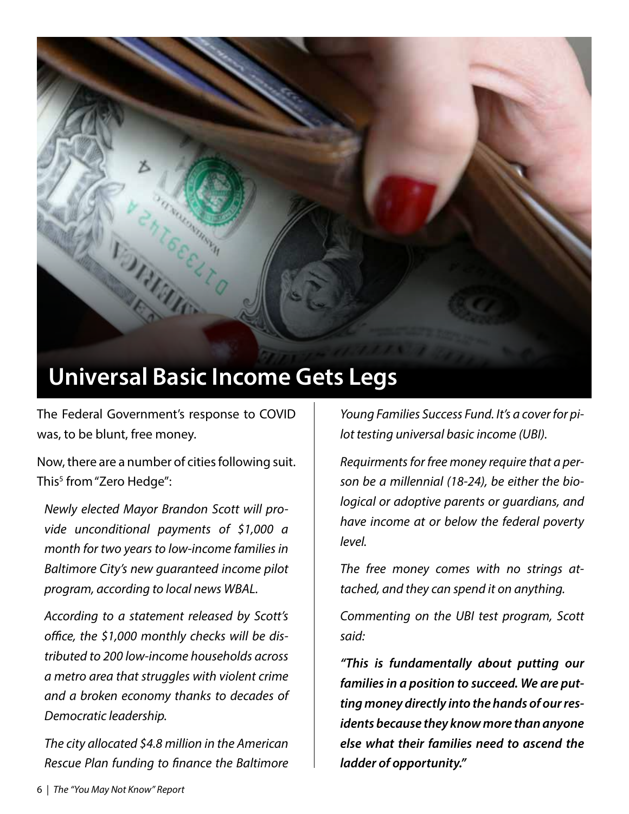

The Federal Government's response to COVID was, to be blunt, free money.

Now, there are a number of cities following suit. This<sup>5</sup> from "Zero Hedge":

*Newly elected Mayor Brandon Scott will provide unconditional payments of \$1,000 a month for two years to low-income families in Baltimore City's new guaranteed income pilot program, according to local news WBAL.* 

*According to a statement released by Scott's office, the \$1,000 monthly checks will be distributed to 200 low-income households across a metro area that struggles with violent crime and a broken economy thanks to decades of Democratic leadership.* 

*The city allocated \$4.8 million in the American Rescue Plan funding to finance the Baltimore* 

*Young Families Success Fund. It's a cover for pilot testing universal basic income (UBI).* 

*Requirments for free money require that a person be a millennial (18-24), be either the biological or adoptive parents or guardians, and have income at or below the federal poverty level.* 

*The free money comes with no strings attached, and they can spend it on anything.* 

*Commenting on the UBI test program, Scott said:*

*"This is fundamentally about putting our families in a position to succeed. We are putting money directly into the hands of our residents because they know more than anyone else what their families need to ascend the ladder of opportunity."*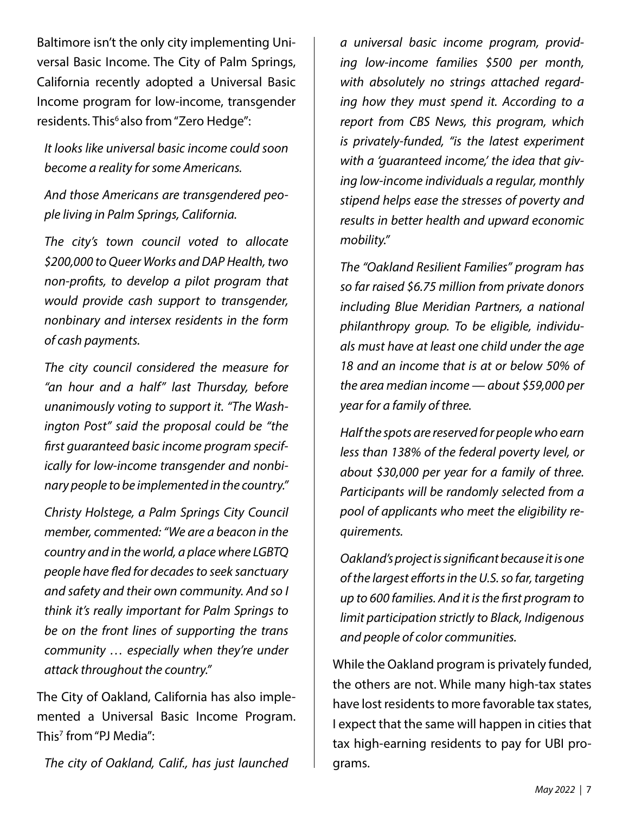Baltimore isn't the only city implementing Universal Basic Income. The City of Palm Springs, California recently adopted a Universal Basic Income program for low-income, transgender residents. This<sup>6</sup> also from "Zero Hedge":

*It looks like universal basic income could soon become a reality for some Americans.*

*And those Americans are transgendered people living in Palm Springs, California.* 

*The city's town council voted to allocate \$200,000 to Queer Works and DAP Health, two non-profits, to develop a pilot program that would provide cash support to transgender, nonbinary and intersex residents in the form of cash payments.* 

*The city council considered the measure for "an hour and a half" last Thursday, before unanimously voting to support it. "The Washington Post" said the proposal could be "the first guaranteed basic income program specifically for low-income transgender and nonbinary people to be implemented in the country."*

*Christy Holstege, a Palm Springs City Council member, commented: "We are a beacon in the country and in the world, a place where LGBTQ people have fled for decades to seek sanctuary and safety and their own community. And so I think it's really important for Palm Springs to be on the front lines of supporting the trans community … especially when they're under attack throughout the country."*

The City of Oakland, California has also implemented a Universal Basic Income Program. This<sup>7</sup> from "PJ Media":

*The city of Oakland, Calif., has just launched* 

*a universal basic income program, providing low-income families \$500 per month, with absolutely no strings attached regarding how they must spend it. According to a report from CBS News, this program, which is privately-funded, "is the latest experiment with a 'guaranteed income,' the idea that giving low-income individuals a regular, monthly stipend helps ease the stresses of poverty and results in better health and upward economic mobility."*

*The "Oakland Resilient Families" program has so far raised \$6.75 million from private donors including Blue Meridian Partners, a national philanthropy group. To be eligible, individuals must have at least one child under the age 18 and an income that is at or below 50% of the area median income — about \$59,000 per year for a family of three.*

*Half the spots are reserved for people who earn less than 138% of the federal poverty level, or about \$30,000 per year for a family of three. Participants will be randomly selected from a pool of applicants who meet the eligibility requirements.*

*Oakland's project is significant because it is one of the largest efforts in the U.S. so far, targeting up to 600 families. And it is the first program to limit participation strictly to Black, Indigenous and people of color communities.*

While the Oakland program is privately funded, the others are not. While many high-tax states have lost residents to more favorable tax states, I expect that the same will happen in cities that tax high-earning residents to pay for UBI programs.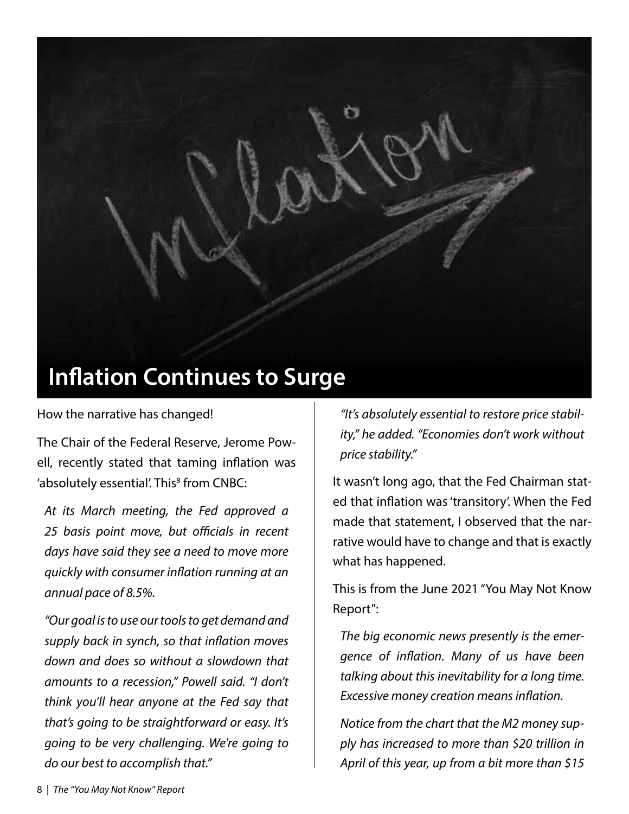

How the narrative has changed!

The Chair of the Federal Reserve, Jerome Powell, recently stated that taming inflation was 'absolutely essential'. This<sup>8</sup> from CNBC:

*At its March meeting, the Fed approved a 25 basis point move, but officials in recent days have said they see a need to move more quickly with consumer inflation running at an annual pace of 8.5%.*

*"Our goal is to use our tools to get demand and supply back in synch, so that inflation moves down and does so without a slowdown that amounts to a recession," Powell said. "I don't think you'll hear anyone at the Fed say that that's going to be straightforward or easy. It's going to be very challenging. We're going to do our best to accomplish that."*

*"It's absolutely essential to restore price stability," he added. "Economies don't work without price stability."*

It wasn't long ago, that the Fed Chairman stated that inflation was 'transitory'. When the Fed made that statement, I observed that the narrative would have to change and that is exactly what has happened.

This is from the June 2021 "You May Not Know Report":

*The big economic news presently is the emergence of inflation. Many of us have been talking about this inevitability for a long time. Excessive money creation means inflation.*

*Notice from the chart that the M2 money supply has increased to more than \$20 trillion in April of this year, up from a bit more than \$15*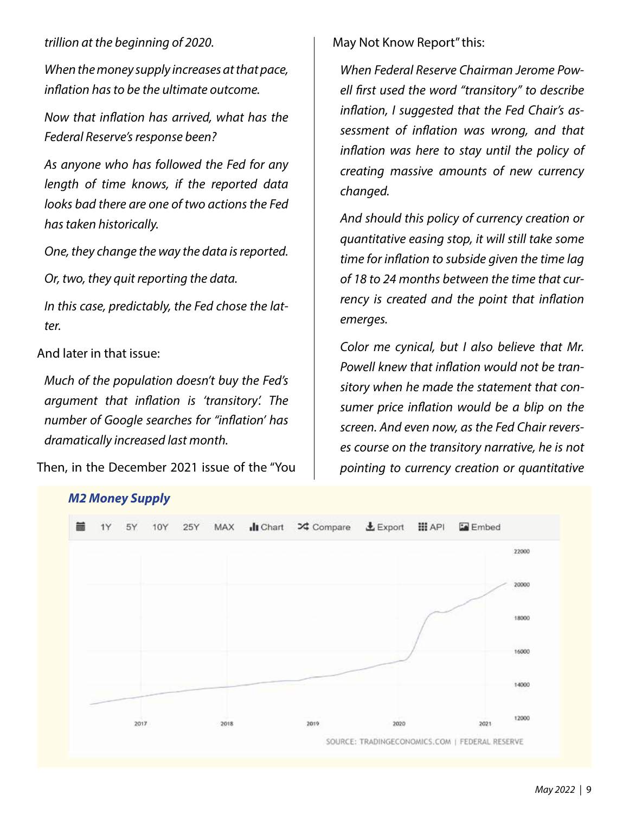*trillion at the beginning of 2020.*

*When the money supply increases at that pace, inflation has to be the ultimate outcome.*

*Now that inflation has arrived, what has the Federal Reserve's response been?*

*As anyone who has followed the Fed for any length of time knows, if the reported data looks bad there are one of two actions the Fed has taken historically.*

*One, they change the way the data is reported.* 

*Or, two, they quit reporting the data.*

*In this case, predictably, the Fed chose the latter.* 

And later in that issue:

*Much of the population doesn't buy the Fed's argument that inflation is 'transitory'. The number of Google searches for "inflation' has dramatically increased last month.*

Then, in the December 2021 issue of the "You

May Not Know Report" this:

*When Federal Reserve Chairman Jerome Powell first used the word "transitory" to describe inflation, I suggested that the Fed Chair's assessment of inflation was wrong, and that inflation was here to stay until the policy of creating massive amounts of new currency changed.*

*And should this policy of currency creation or quantitative easing stop, it will still take some time for inflation to subside given the time lag of 18 to 24 months between the time that currency is created and the point that inflation emerges.*

*Color me cynical, but I also believe that Mr. Powell knew that inflation would not be transitory when he made the statement that consumer price inflation would be a blip on the screen. And even now, as the Fed Chair reverses course on the transitory narrative, he is not pointing to currency creation or quantitative* 

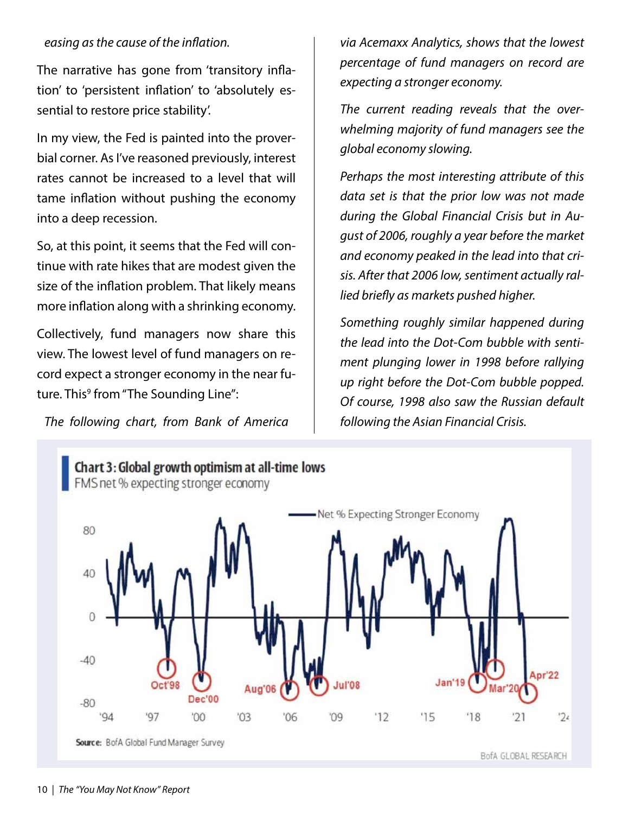#### *easing as the cause of the inflation.*

The narrative has gone from 'transitory inflation' to 'persistent inflation' to 'absolutely essential to restore price stability'.

In my view, the Fed is painted into the proverbial corner. As I've reasoned previously, interest rates cannot be increased to a level that will tame inflation without pushing the economy into a deep recession.

So, at this point, it seems that the Fed will continue with rate hikes that are modest given the size of the inflation problem. That likely means more inflation along with a shrinking economy.

Collectively, fund managers now share this view. The lowest level of fund managers on record expect a stronger economy in the near future. This<sup>9</sup> from "The Sounding Line":

*The following chart, from Bank of America* 

*via Acemaxx Analytics, shows that the lowest percentage of fund managers on record are expecting a stronger economy.*

*The current reading reveals that the overwhelming majority of fund managers see the global economy slowing.*

*Perhaps the most interesting attribute of this data set is that the prior low was not made during the Global Financial Crisis but in August of 2006, roughly a year before the market and economy peaked in the lead into that crisis. After that 2006 low, sentiment actually rallied briefly as markets pushed higher.*

*Something roughly similar happened during the lead into the Dot-Com bubble with sentiment plunging lower in 1998 before rallying up right before the Dot-Com bubble popped. Of course, 1998 also saw the Russian default following the Asian Financial Crisis.*

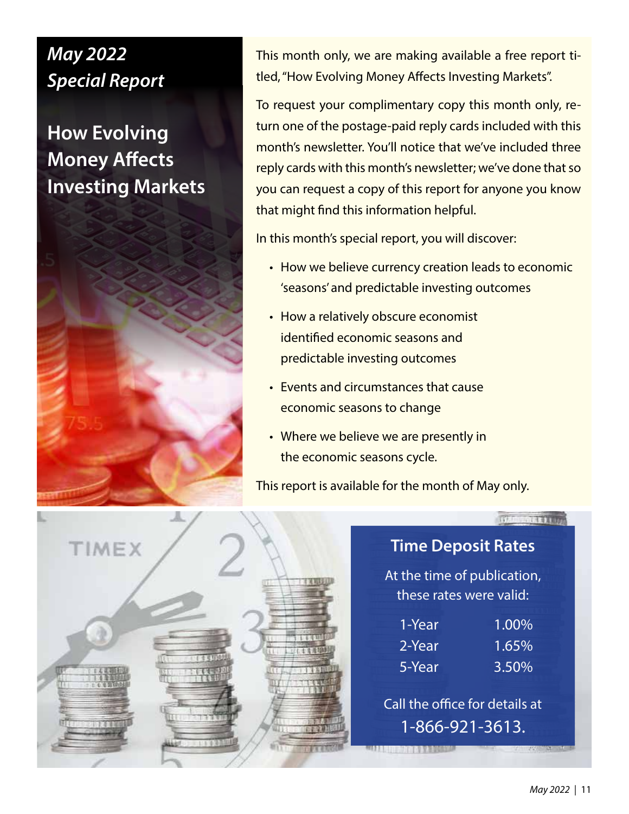## *May 2022 Special Report*

## **How Evolving Money Affects Investing Markets**



This month only, we are making available a free report titled, "How Evolving Money Affects Investing Markets".

To request your complimentary copy this month only, return one of the postage-paid reply cards included with this month's newsletter. You'll notice that we've included three reply cards with this month's newsletter; we've done that so you can request a copy of this report for anyone you know that might find this information helpful.

In this month's special report, you will discover:

- How we believe currency creation leads to economic 'seasons' and predictable investing outcomes
- How a relatively obscure economist identified economic seasons and predictable investing outcomes
- Events and circumstances that cause economic seasons to change
- Where we believe we are presently in the economic seasons cycle.

This report is available for the month of May only.